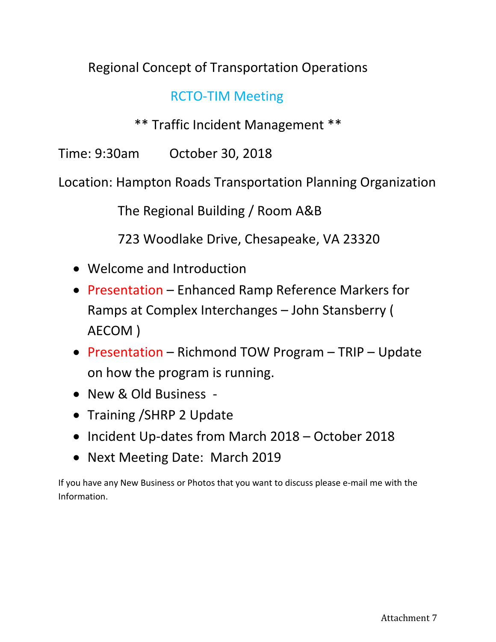## Regional Concept of Transportation Operations

## RCTO-TIM Meeting

\*\* Traffic Incident Management \*\*

Time: 9:30am October 30, 2018

Location: Hampton Roads Transportation Planning Organization

The Regional Building / Room A&B

723 Woodlake Drive, Chesapeake, VA 23320

- Welcome and Introduction
- Presentation Enhanced Ramp Reference Markers for Ramps at Complex Interchanges – John Stansberry ( AECOM )
- Presentation Richmond TOW Program TRIP Update on how the program is running.
- New & Old Business -
- Training / SHRP 2 Update
- Incident Up-dates from March 2018 October 2018
- Next Meeting Date: March 2019

If you have any New Business or Photos that you want to discuss please e-mail me with the Information.